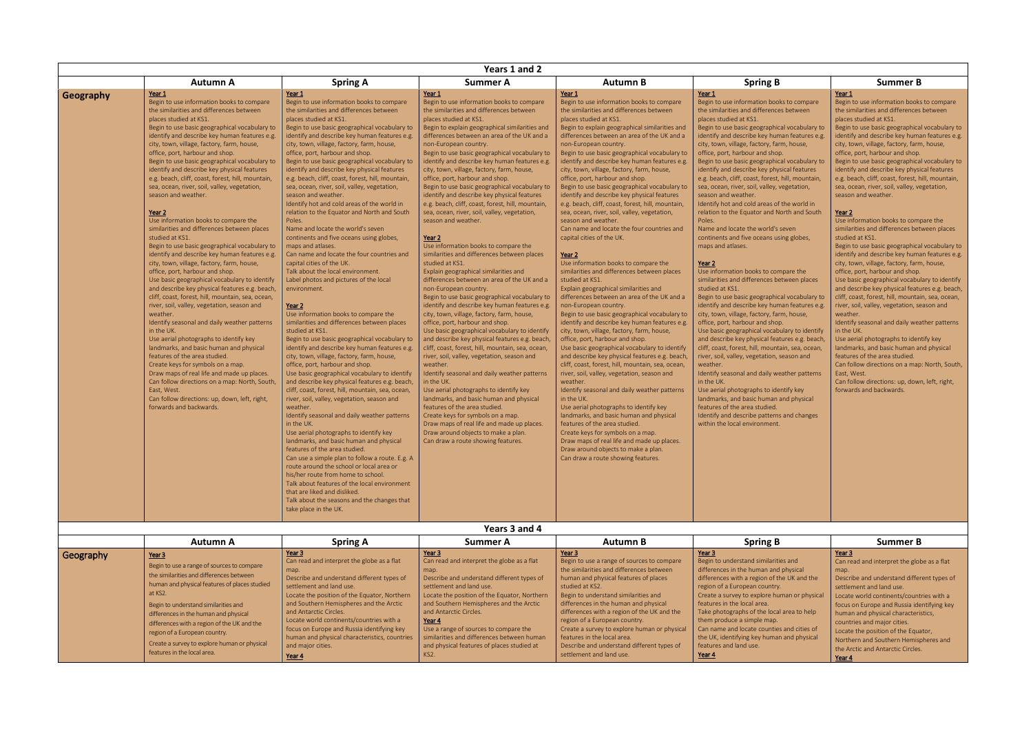|           |                                                                                                                                                                                                                                                                                                                                                                                                                                                                                                                                                                                                                                                                                                                                                                                                                                                                                                                                                                                                                                                                                                                                                                                                                                                                                                                                                                                                                                                                                                  | Years 1 and 2                                                                                                                                                                                                                                                                                                                                                                                                                                                                                                                                                                                                                                                                                                                                                                                                                                                                                                                                                                                                                                                                                                                                                                                                                                                                                                                                                                                                                                                                                                                                                                                                                                                                                                                                                                                                                                                                                                                               |                                                                                                                                                                                                                                                                                                                                                                                                                                                                                                                                                                                                                                                                                                                                                                                                                                                                                                                                                                                                                                                                                                                                                                                                                                                                                                                                                                                                                                                                                                                                                                                                                                                                              |                                                                                                                                                                                                                                                                                                                                                                                                                                                                                                                                                                                                                                                                                                                                                                                                                                                                                                                                                                                                                                                                                                                                                                                                                                                                                                                                                                                                                                                                                                                                                                                                                                                                                                                                             |                                                                                                                                                                                                                                                                                                                                                                                                                                                                                                                                                                                                                                                                                                                                                                                                                                                                                                                                                                                                                                                                                                                                                                                                                                                                                                                                                                                                                                                                                                                                                     |                                                                                                                                                                                                                                                                                                                                                                                                                                                                                                                                                                                                                                                                                                                                                                                                                                                                                                                                                                                                                                                                                                                                                                                                                                                                                                                                                                                                    |  |  |  |  |  |  |
|-----------|--------------------------------------------------------------------------------------------------------------------------------------------------------------------------------------------------------------------------------------------------------------------------------------------------------------------------------------------------------------------------------------------------------------------------------------------------------------------------------------------------------------------------------------------------------------------------------------------------------------------------------------------------------------------------------------------------------------------------------------------------------------------------------------------------------------------------------------------------------------------------------------------------------------------------------------------------------------------------------------------------------------------------------------------------------------------------------------------------------------------------------------------------------------------------------------------------------------------------------------------------------------------------------------------------------------------------------------------------------------------------------------------------------------------------------------------------------------------------------------------------|---------------------------------------------------------------------------------------------------------------------------------------------------------------------------------------------------------------------------------------------------------------------------------------------------------------------------------------------------------------------------------------------------------------------------------------------------------------------------------------------------------------------------------------------------------------------------------------------------------------------------------------------------------------------------------------------------------------------------------------------------------------------------------------------------------------------------------------------------------------------------------------------------------------------------------------------------------------------------------------------------------------------------------------------------------------------------------------------------------------------------------------------------------------------------------------------------------------------------------------------------------------------------------------------------------------------------------------------------------------------------------------------------------------------------------------------------------------------------------------------------------------------------------------------------------------------------------------------------------------------------------------------------------------------------------------------------------------------------------------------------------------------------------------------------------------------------------------------------------------------------------------------------------------------------------------------|------------------------------------------------------------------------------------------------------------------------------------------------------------------------------------------------------------------------------------------------------------------------------------------------------------------------------------------------------------------------------------------------------------------------------------------------------------------------------------------------------------------------------------------------------------------------------------------------------------------------------------------------------------------------------------------------------------------------------------------------------------------------------------------------------------------------------------------------------------------------------------------------------------------------------------------------------------------------------------------------------------------------------------------------------------------------------------------------------------------------------------------------------------------------------------------------------------------------------------------------------------------------------------------------------------------------------------------------------------------------------------------------------------------------------------------------------------------------------------------------------------------------------------------------------------------------------------------------------------------------------------------------------------------------------|---------------------------------------------------------------------------------------------------------------------------------------------------------------------------------------------------------------------------------------------------------------------------------------------------------------------------------------------------------------------------------------------------------------------------------------------------------------------------------------------------------------------------------------------------------------------------------------------------------------------------------------------------------------------------------------------------------------------------------------------------------------------------------------------------------------------------------------------------------------------------------------------------------------------------------------------------------------------------------------------------------------------------------------------------------------------------------------------------------------------------------------------------------------------------------------------------------------------------------------------------------------------------------------------------------------------------------------------------------------------------------------------------------------------------------------------------------------------------------------------------------------------------------------------------------------------------------------------------------------------------------------------------------------------------------------------------------------------------------------------|-----------------------------------------------------------------------------------------------------------------------------------------------------------------------------------------------------------------------------------------------------------------------------------------------------------------------------------------------------------------------------------------------------------------------------------------------------------------------------------------------------------------------------------------------------------------------------------------------------------------------------------------------------------------------------------------------------------------------------------------------------------------------------------------------------------------------------------------------------------------------------------------------------------------------------------------------------------------------------------------------------------------------------------------------------------------------------------------------------------------------------------------------------------------------------------------------------------------------------------------------------------------------------------------------------------------------------------------------------------------------------------------------------------------------------------------------------------------------------------------------------------------------------------------------------|----------------------------------------------------------------------------------------------------------------------------------------------------------------------------------------------------------------------------------------------------------------------------------------------------------------------------------------------------------------------------------------------------------------------------------------------------------------------------------------------------------------------------------------------------------------------------------------------------------------------------------------------------------------------------------------------------------------------------------------------------------------------------------------------------------------------------------------------------------------------------------------------------------------------------------------------------------------------------------------------------------------------------------------------------------------------------------------------------------------------------------------------------------------------------------------------------------------------------------------------------------------------------------------------------------------------------------------------------------------------------------------------------|--|--|--|--|--|--|
|           | <b>Autumn A</b>                                                                                                                                                                                                                                                                                                                                                                                                                                                                                                                                                                                                                                                                                                                                                                                                                                                                                                                                                                                                                                                                                                                                                                                                                                                                                                                                                                                                                                                                                  | <b>Spring A</b>                                                                                                                                                                                                                                                                                                                                                                                                                                                                                                                                                                                                                                                                                                                                                                                                                                                                                                                                                                                                                                                                                                                                                                                                                                                                                                                                                                                                                                                                                                                                                                                                                                                                                                                                                                                                                                                                                                                             | <b>Summer A</b>                                                                                                                                                                                                                                                                                                                                                                                                                                                                                                                                                                                                                                                                                                                                                                                                                                                                                                                                                                                                                                                                                                                                                                                                                                                                                                                                                                                                                                                                                                                                                                                                                                                              | <b>Autumn B</b>                                                                                                                                                                                                                                                                                                                                                                                                                                                                                                                                                                                                                                                                                                                                                                                                                                                                                                                                                                                                                                                                                                                                                                                                                                                                                                                                                                                                                                                                                                                                                                                                                                                                                                                             | <b>Spring B</b>                                                                                                                                                                                                                                                                                                                                                                                                                                                                                                                                                                                                                                                                                                                                                                                                                                                                                                                                                                                                                                                                                                                                                                                                                                                                                                                                                                                                                                                                                                                                     | <b>Summer B</b>                                                                                                                                                                                                                                                                                                                                                                                                                                                                                                                                                                                                                                                                                                                                                                                                                                                                                                                                                                                                                                                                                                                                                                                                                                                                                                                                                                                    |  |  |  |  |  |  |
| Geography | Year 1<br>Begin to use information books to compare<br>the similarities and differences between<br>places studied at KS1.<br>Begin to use basic geographical vocabulary to<br>identify and describe key human features e.g.<br>city, town, village, factory, farm, house,<br>office, port, harbour and shop.<br>Begin to use basic geographical vocabulary to<br>identify and describe key physical features<br>e.g. beach, cliff, coast, forest, hill, mountain,<br>sea, ocean, river, soil, valley, vegetation,<br>season and weather.<br>Year <sub>2</sub><br>Use information books to compare the<br>similarities and differences between places<br>studied at KS1.<br>Begin to use basic geographical vocabulary to<br>identify and describe key human features e.g.<br>city, town, village, factory, farm, house,<br>office, port, harbour and shop.<br>Use basic geographical vocabulary to identify<br>and describe key physical features e.g. beach,<br>cliff, coast, forest, hill, mountain, sea, ocean,<br>river, soil, valley, vegetation, season and<br>weather.<br>Identify seasonal and daily weather patterns<br>in the UK.<br>Use aerial photographs to identify key<br>landmarks, and basic human and physical<br>features of the area studied.<br>Create keys for symbols on a map.<br>Draw maps of real life and made up places.<br>Can follow directions on a map: North, South,<br>East, West.<br>Can follow directions: up, down, left, right,<br>forwards and backwards. | Year 1<br>Begin to use information books to compare<br>the similarities and differences between<br>places studied at KS1.<br>Begin to use basic geographical vocabulary to<br>identify and describe key human features e.g.<br>city, town, village, factory, farm, house,<br>office, port, harbour and shop.<br>Begin to use basic geographical vocabulary to<br>identify and describe key physical features<br>e.g. beach, cliff, coast, forest, hill, mountain,<br>sea, ocean, river, soil, valley, vegetation,<br>season and weather.<br>Identify hot and cold areas of the world in<br>relation to the Equator and North and South<br>Poles.<br>Name and locate the world's seven<br>continents and five oceans using globes,<br>maps and atlases.<br>Can name and locate the four countries and<br>capital cities of the UK.<br>Talk about the local environment.<br>Label photos and pictures of the local<br>environment.<br>Year 2<br>Use information books to compare the<br>similarities and differences between places<br>studied at KS1.<br>Begin to use basic geographical vocabulary to<br>identify and describe key human features e.g.<br>city, town, village, factory, farm, house,<br>office, port, harbour and shop.<br>Use basic geographical vocabulary to identify<br>and describe key physical features e.g. beach,<br>cliff, coast, forest, hill, mountain, sea, ocean,<br>river, soil, valley, vegetation, season and<br>weather.<br>Identify seasonal and daily weather patterns<br>in the UK.<br>Use aerial photographs to identify key<br>landmarks, and basic human and physical<br>features of the area studied.<br>Can use a simple plan to follow a route. E.g. A<br>route around the school or local area or<br>his/her route from home to school.<br>Talk about features of the local environment<br>that are liked and disliked.<br>Talk about the seasons and the changes that<br>take place in the UK. | Year 1<br>Begin to use information books to compare<br>the similarities and differences between<br>places studied at KS1.<br>Begin to explain geographical similarities and<br>differences between an area of the UK and a<br>non-European country.<br>Begin to use basic geographical vocabulary to<br>identify and describe key human features e.g.<br>city, town, village, factory, farm, house,<br>office, port, harbour and shop.<br>Begin to use basic geographical vocabulary to<br>identify and describe key physical features<br>e.g. beach, cliff, coast, forest, hill, mountain,<br>sea, ocean, river, soil, valley, vegetation,<br>season and weather.<br>Year <sub>2</sub><br>Use information books to compare the<br>similarities and differences between places<br>studied at KS1.<br>Explain geographical similarities and<br>differences between an area of the UK and a<br>non-European country.<br>Begin to use basic geographical vocabulary to<br>identify and describe key human features e.g.<br>city, town, village, factory, farm, house,<br>office, port, harbour and shop.<br>Use basic geographical vocabulary to identify<br>and describe key physical features e.g. beach,<br>cliff, coast, forest, hill, mountain, sea, ocean,<br>river, soil, valley, vegetation, season and<br>weather.<br>Identify seasonal and daily weather patterns<br>in the UK.<br>Use aerial photographs to identify key<br>landmarks, and basic human and physical<br>features of the area studied.<br>Create keys for symbols on a map.<br>Draw maps of real life and made up places.<br>Draw around objects to make a plan.<br>Can draw a route showing features. | Year 1<br>Begin to use information books to compare<br>the similarities and differences between<br>places studied at KS1.<br>Begin to explain geographical similarities and<br>differences between an area of the UK and a<br>non-European country.<br>Begin to use basic geographical vocabulary to<br>identify and describe key human features e.g.<br>city, town, village, factory, farm, house,<br>office, port, harbour and shop.<br>Begin to use basic geographical vocabulary to<br>identify and describe key physical features<br>e.g. beach, cliff, coast, forest, hill, mountain,<br>sea, ocean, river, soil, valley, vegetation,<br>season and weather.<br>Can name and locate the four countries and<br>capital cities of the UK.<br>Year 2<br>Use information books to compare the<br>similarities and differences between places<br>studied at KS1.<br>Explain geographical similarities and<br>differences between an area of the UK and a<br>non-European country.<br>Begin to use basic geographical vocabulary to<br>identify and describe key human features e.g.<br>city, town, village, factory, farm, house,<br>office, port, harbour and shop.<br>Use basic geographical vocabulary to identify<br>and describe key physical features e.g. beach<br>cliff, coast, forest, hill, mountain, sea, ocean,<br>river, soil, valley, vegetation, season and<br>weather.<br>Identify seasonal and daily weather patterns<br>in the UK.<br>Use aerial photographs to identify key<br>landmarks, and basic human and physical<br>features of the area studied.<br>Create keys for symbols on a map.<br>Draw maps of real life and made up places.<br>Draw around objects to make a plan.<br>Can draw a route showing features. | Year 1<br>Begin to use information books to compare<br>the similarities and differences between<br>places studied at KS1.<br>Begin to use basic geographical vocabulary to<br>identify and describe key human features e.g.<br>city, town, village, factory, farm, house,<br>office, port, harbour and shop.<br>Begin to use basic geographical vocabulary to<br>identify and describe key physical features<br>e.g. beach, cliff, coast, forest, hill, mountain,<br>sea, ocean, river, soil, valley, vegetation,<br>season and weather.<br>Identify hot and cold areas of the world in<br>relation to the Equator and North and South<br>Poles.<br>Name and locate the world's seven<br>continents and five oceans using globes,<br>maps and atlases.<br>Year 2<br>Use information books to compare the<br>similarities and differences between places<br>studied at KS1.<br>Begin to use basic geographical vocabulary to<br>identify and describe key human features e.g.<br>city, town, village, factory, farm, house,<br>office, port, harbour and shop.<br>Use basic geographical vocabulary to identify<br>and describe key physical features e.g. beach,<br>cliff, coast, forest, hill, mountain, sea, ocean,<br>river, soil, valley, vegetation, season and<br>weather.<br>Identify seasonal and daily weather patterns<br>in the UK.<br>Use aerial photographs to identify key<br>landmarks, and basic human and physical<br>features of the area studied.<br>Identify and describe patterns and changes<br>within the local environment. | Year 1<br>Begin to use information books to compare<br>the similarities and differences between<br>places studied at KS1.<br>Begin to use basic geographical vocabulary to<br>identify and describe key human features e.g.<br>city, town, village, factory, farm, house,<br>office, port, harbour and shop.<br>Begin to use basic geographical vocabulary to<br>identify and describe key physical features<br>e.g. beach, cliff, coast, forest, hill, mountain,<br>sea, ocean, river, soil, valley, vegetation,<br>season and weather.<br>Year 2<br>Use information books to compare the<br>similarities and differences between places<br>studied at KS1.<br>Begin to use basic geographical vocabulary to<br>identify and describe key human features e.g.<br>city, town, village, factory, farm, house,<br>office, port, harbour and shop.<br>Use basic geographical vocabulary to identify<br>and describe key physical features e.g. beach,<br>cliff, coast, forest, hill, mountain, sea, ocean,<br>river, soil, valley, vegetation, season and<br>weather.<br>Identify seasonal and daily weather patterns<br>in the UK.<br>Use aerial photographs to identify key<br>landmarks, and basic human and physical<br>features of the area studied.<br>Can follow directions on a map: North, South,<br>East, West.<br>Can follow directions: up, down, left, right,<br>forwards and backwards. |  |  |  |  |  |  |

|           | <b>Autumn A</b>                                                                                                                                                                                                                                                                                                                                                                                              | <b>Spring A</b>                                                                                                                                                                                                                                                                                                                                                                                                                       | Summer A                                                                                                                                                                                                                                                                                                                                                                                                                        | <b>Autumn B</b>                                                                                                                                                                                                                                                                                                                                                                                                                                                                        | <b>Spring B</b>                                                                                                                                                                                                                                                                                                                                                                                                                                                    | <b>Summer B</b>                                                                                                                                                                                                                                                                                                                                                                                                                       |
|-----------|--------------------------------------------------------------------------------------------------------------------------------------------------------------------------------------------------------------------------------------------------------------------------------------------------------------------------------------------------------------------------------------------------------------|---------------------------------------------------------------------------------------------------------------------------------------------------------------------------------------------------------------------------------------------------------------------------------------------------------------------------------------------------------------------------------------------------------------------------------------|---------------------------------------------------------------------------------------------------------------------------------------------------------------------------------------------------------------------------------------------------------------------------------------------------------------------------------------------------------------------------------------------------------------------------------|----------------------------------------------------------------------------------------------------------------------------------------------------------------------------------------------------------------------------------------------------------------------------------------------------------------------------------------------------------------------------------------------------------------------------------------------------------------------------------------|--------------------------------------------------------------------------------------------------------------------------------------------------------------------------------------------------------------------------------------------------------------------------------------------------------------------------------------------------------------------------------------------------------------------------------------------------------------------|---------------------------------------------------------------------------------------------------------------------------------------------------------------------------------------------------------------------------------------------------------------------------------------------------------------------------------------------------------------------------------------------------------------------------------------|
| Geography | Year 3<br>Begin to use a range of sources to compare<br>the similarities and differences between<br>human and physical features of places studied<br>at KS2.<br>Begin to understand similarities and<br>differences in the human and physical<br>differences with a region of the UK and the<br>region of a European country.<br>Create a survey to explore human or physical<br>features in the local area. | Year 3<br>Can read and interpret the globe as a flat<br>map.<br>Describe and understand different types of<br>settlement and land use.<br>Locate the position of the Equator, Northern<br>and Southern Hemispheres and the Arctic<br>and Antarctic Circles.<br>Locate world continents/countries with a<br>focus on Europe and Russia identifying key<br>human and physical characteristics, countries<br>and major cities.<br>Year 4 | Year 3<br>Can read and interpret the globe as a flat<br>map.<br>Describe and understand different types of<br>settlement and land use.<br>Locate the position of the Equator, Northern<br>and Southern Hemispheres and the Arctic<br>and Antarctic Circles.<br>Year 4<br>Use a range of sources to compare the<br>similarities and differences between human<br>and physical features of places studied at<br>KS <sub>2</sub> . | Year 3<br>Begin to use a range of sources to compare<br>the similarities and differences between<br>human and physical features of places<br>studied at KS2.<br>Begin to understand similarities and<br>differences in the human and physical<br>differences with a region of the UK and the<br>region of a European country.<br>Create a survey to explore human or physical<br>features in the local area.<br>Describe and understand different types of<br>settlement and land use. | Year 3<br>Begin to understand similarities and<br>differences in the human and physical<br>differences with a region of the UK and the<br>region of a European country.<br>Create a survey to explore human or physical<br>features in the local area.<br>Take photographs of the local area to help<br>them produce a simple map.<br>Can name and locate counties and cities of<br>the UK, identifying key human and physical<br>features and land use.<br>Year 4 | Year 3<br>Can read and interpret the globe as a flat<br>map.<br>Describe and understand different types of<br>settlement and land use.<br>Locate world continents/countries with a<br>focus on Europe and Russia identifying key<br>human and physical characteristics,<br>countries and major cities.<br>Locate the position of the Equator.<br>Northern and Southern Hemispheres and<br>the Arctic and Antarctic Circles.<br>Year 4 |